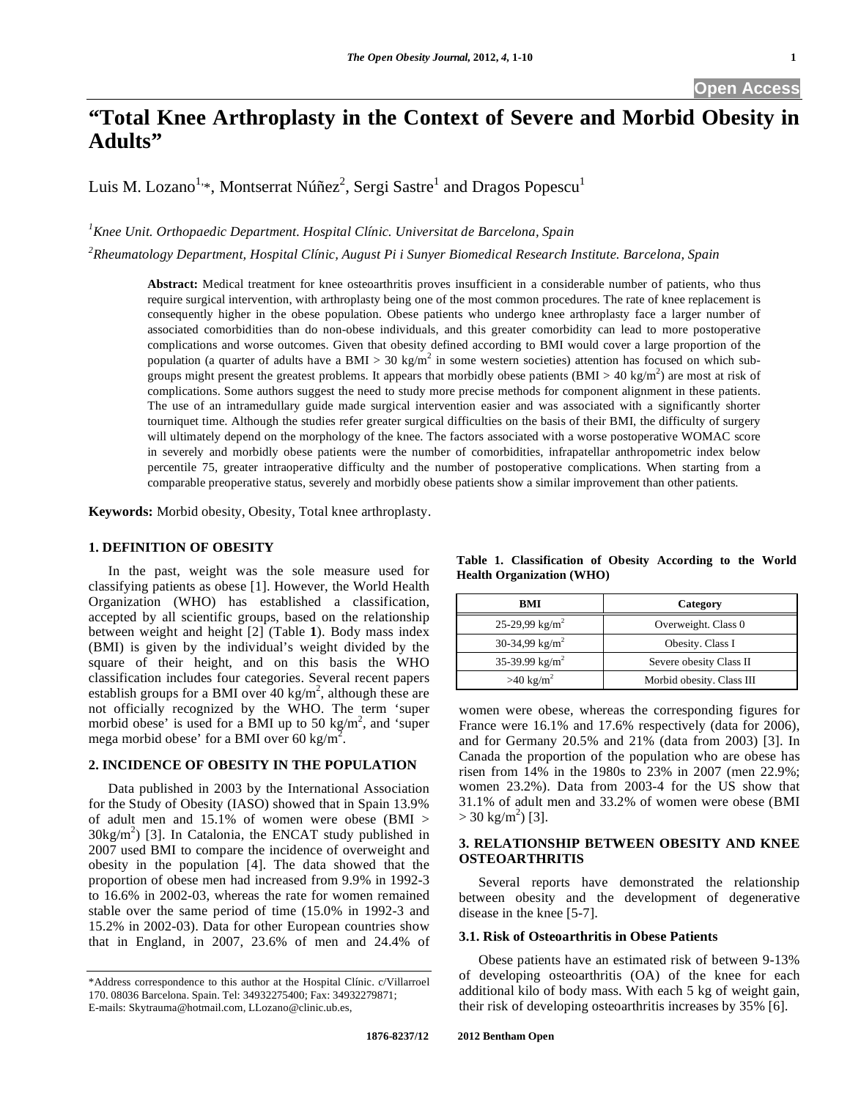# **"Total Knee Arthroplasty in the Context of Severe and Morbid Obesity in Adults"**

Luis M. Lozano $^{1,*}$ , Montserrat Núñez $^{2}$ , Sergi Sastre $^{1}$  and Dragos Popescu $^{1}$ 

*1 Knee Unit. Orthopaedic Department. Hospital Clínic. Universitat de Barcelona, Spain* 

*2 Rheumatology Department, Hospital Clínic, August Pi i Sunyer Biomedical Research Institute. Barcelona, Spain* 

**Abstract:** Medical treatment for knee osteoarthritis proves insufficient in a considerable number of patients, who thus require surgical intervention, with arthroplasty being one of the most common procedures. The rate of knee replacement is consequently higher in the obese population. Obese patients who undergo knee arthroplasty face a larger number of associated comorbidities than do non-obese individuals, and this greater comorbidity can lead to more postoperative complications and worse outcomes. Given that obesity defined according to BMI would cover a large proportion of the population (a quarter of adults have a BMI > 30 kg/m<sup>2</sup> in some western societies) attention has focused on which subgroups might present the greatest problems. It appears that morbidly obese patients  $(BMI > 40 \text{ kg/m}^2)$  are most at risk of complications. Some authors suggest the need to study more precise methods for component alignment in these patients. The use of an intramedullary guide made surgical intervention easier and was associated with a significantly shorter tourniquet time. Although the studies refer greater surgical difficulties on the basis of their BMI, the difficulty of surgery will ultimately depend on the morphology of the knee. The factors associated with a worse postoperative WOMAC score in severely and morbidly obese patients were the number of comorbidities, infrapatellar anthropometric index below percentile 75, greater intraoperative difficulty and the number of postoperative complications. When starting from a comparable preoperative status, severely and morbidly obese patients show a similar improvement than other patients.

**Keywords:** Morbid obesity, Obesity, Total knee arthroplasty.

### **1. DEFINITION OF OBESITY**

 In the past, weight was the sole measure used for classifying patients as obese [1]. However, the World Health Organization (WHO) has established a classification, accepted by all scientific groups, based on the relationship between weight and height [2] (Table **1**). Body mass index (BMI) is given by the individual's weight divided by the square of their height, and on this basis the WHO classification includes four categories. Several recent papers establish groups for a BMI over  $40 \text{ kg/m}^2$ , although these are not officially recognized by the WHO. The term 'super morbid obese' is used for a BMI up to 50 kg/m<sup>2</sup>, and 'super mega morbid obese' for a BMI over 60 kg/m<sup>2</sup>.

### **2. INCIDENCE OF OBESITY IN THE POPULATION**

 Data published in 2003 by the International Association for the Study of Obesity (IASO) showed that in Spain 13.9% of adult men and 15.1% of women were obese (BMI >  $30\text{kg/m}^2$ ) [3]. In Catalonia, the ENCAT study published in 2007 used BMI to compare the incidence of overweight and obesity in the population [4]. The data showed that the proportion of obese men had increased from 9.9% in 1992-3 to 16.6% in 2002-03, whereas the rate for women remained stable over the same period of time (15.0% in 1992-3 and 15.2% in 2002-03). Data for other European countries show that in England, in 2007, 23.6% of men and 24.4% of

| BMI                        | Category                  |
|----------------------------|---------------------------|
| 25-29,99 kg/m <sup>2</sup> | Overweight. Class 0       |
| 30-34,99 $\text{kg/m}^2$   | Obesity. Class I          |
| 35-39.99 $\text{kg/m}^2$   | Severe obesity Class II   |
| $>40$ kg/m <sup>2</sup>    | Morbid obesity. Class III |

**Table 1. Classification of Obesity According to the World** 

**Health Organization (WHO)** 

women were obese, whereas the corresponding figures for France were 16.1% and 17.6% respectively (data for 2006), and for Germany 20.5% and 21% (data from 2003) [3]. In Canada the proportion of the population who are obese has risen from 14% in the 1980s to 23% in 2007 (men 22.9%; women 23.2%). Data from 2003-4 for the US show that 31.1% of adult men and 33.2% of women were obese (BMI  $>$  30 kg/m<sup>2</sup>) [3].

## **3. RELATIONSHIP BETWEEN OBESITY AND KNEE OSTEOARTHRITIS**

 Several reports have demonstrated the relationship between obesity and the development of degenerative disease in the knee [5-7].

### **3.1. Risk of Osteoarthritis in Obese Patients**

 Obese patients have an estimated risk of between 9-13% of developing osteoarthritis (OA) of the knee for each additional kilo of body mass. With each 5 kg of weight gain, their risk of developing osteoarthritis increases by 35% [6].

<sup>\*</sup>Address correspondence to this author at the Hospital Clínic. c/Villarroel 170. 08036 Barcelona. Spain. Tel: 34932275400; Fax: 34932279871; E-mails: Skytrauma@hotmail.com, LLozano@clinic.ub.es,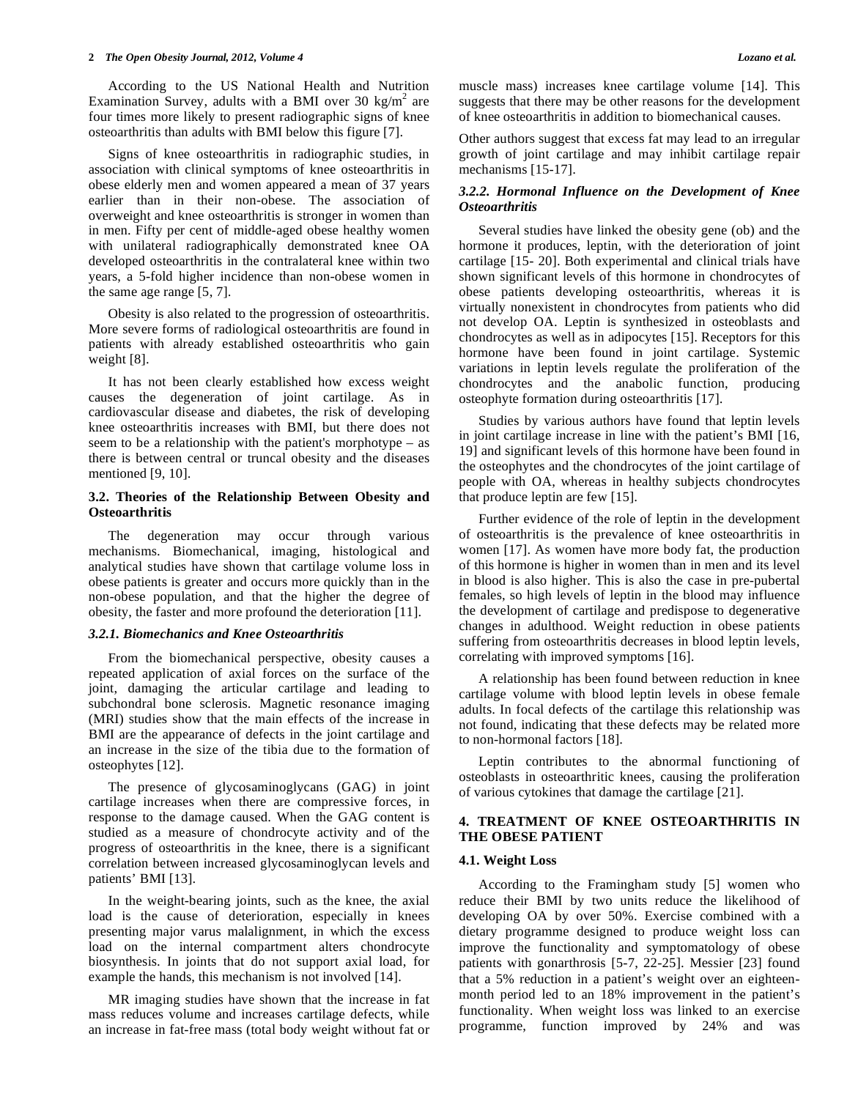According to the US National Health and Nutrition Examination Survey, adults with a BMI over 30 kg/m<sup>2</sup> are four times more likely to present radiographic signs of knee osteoarthritis than adults with BMI below this figure [7].

 Signs of knee osteoarthritis in radiographic studies, in association with clinical symptoms of knee osteoarthritis in obese elderly men and women appeared a mean of 37 years earlier than in their non-obese. The association of overweight and knee osteoarthritis is stronger in women than in men. Fifty per cent of middle-aged obese healthy women with unilateral radiographically demonstrated knee OA developed osteoarthritis in the contralateral knee within two years, a 5-fold higher incidence than non-obese women in the same age range [5, 7].

 Obesity is also related to the progression of osteoarthritis. More severe forms of radiological osteoarthritis are found in patients with already established osteoarthritis who gain weight [8].

 It has not been clearly established how excess weight causes the degeneration of joint cartilage. As in cardiovascular disease and diabetes, the risk of developing knee osteoarthritis increases with BMI, but there does not seem to be a relationship with the patient's morphotype – as there is between central or truncal obesity and the diseases mentioned [9, 10].

### **3.2. Theories of the Relationship Between Obesity and Osteoarthritis**

 The degeneration may occur through various mechanisms. Biomechanical, imaging, histological and analytical studies have shown that cartilage volume loss in obese patients is greater and occurs more quickly than in the non-obese population, and that the higher the degree of obesity, the faster and more profound the deterioration [11].

### *3.2.1. Biomechanics and Knee Osteoarthritis*

 From the biomechanical perspective, obesity causes a repeated application of axial forces on the surface of the joint, damaging the articular cartilage and leading to subchondral bone sclerosis. Magnetic resonance imaging (MRI) studies show that the main effects of the increase in BMI are the appearance of defects in the joint cartilage and an increase in the size of the tibia due to the formation of osteophytes [12].

 The presence of glycosaminoglycans (GAG) in joint cartilage increases when there are compressive forces, in response to the damage caused. When the GAG content is studied as a measure of chondrocyte activity and of the progress of osteoarthritis in the knee, there is a significant correlation between increased glycosaminoglycan levels and patients' BMI [13].

 In the weight-bearing joints, such as the knee, the axial load is the cause of deterioration, especially in knees presenting major varus malalignment, in which the excess load on the internal compartment alters chondrocyte biosynthesis. In joints that do not support axial load, for example the hands, this mechanism is not involved [14].

 MR imaging studies have shown that the increase in fat mass reduces volume and increases cartilage defects, while an increase in fat-free mass (total body weight without fat or

muscle mass) increases knee cartilage volume [14]. This suggests that there may be other reasons for the development of knee osteoarthritis in addition to biomechanical causes.

Other authors suggest that excess fat may lead to an irregular growth of joint cartilage and may inhibit cartilage repair mechanisms [15-17].

# *3.2.2. Hormonal Influence on the Development of Knee Osteoarthritis*

 Several studies have linked the obesity gene (ob) and the hormone it produces, leptin, with the deterioration of joint cartilage [15- 20]. Both experimental and clinical trials have shown significant levels of this hormone in chondrocytes of obese patients developing osteoarthritis, whereas it is virtually nonexistent in chondrocytes from patients who did not develop OA. Leptin is synthesized in osteoblasts and chondrocytes as well as in adipocytes [15]. Receptors for this hormone have been found in joint cartilage. Systemic variations in leptin levels regulate the proliferation of the chondrocytes and the anabolic function, producing osteophyte formation during osteoarthritis [17].

 Studies by various authors have found that leptin levels in joint cartilage increase in line with the patient's BMI [16, 19] and significant levels of this hormone have been found in the osteophytes and the chondrocytes of the joint cartilage of people with OA, whereas in healthy subjects chondrocytes that produce leptin are few [15].

 Further evidence of the role of leptin in the development of osteoarthritis is the prevalence of knee osteoarthritis in women [17]. As women have more body fat, the production of this hormone is higher in women than in men and its level in blood is also higher. This is also the case in pre-pubertal females, so high levels of leptin in the blood may influence the development of cartilage and predispose to degenerative changes in adulthood. Weight reduction in obese patients suffering from osteoarthritis decreases in blood leptin levels, correlating with improved symptoms [16].

 A relationship has been found between reduction in knee cartilage volume with blood leptin levels in obese female adults. In focal defects of the cartilage this relationship was not found, indicating that these defects may be related more to non-hormonal factors [18].

 Leptin contributes to the abnormal functioning of osteoblasts in osteoarthritic knees, causing the proliferation of various cytokines that damage the cartilage [21].

### **4. TREATMENT OF KNEE OSTEOARTHRITIS IN THE OBESE PATIENT**

### **4.1. Weight Loss**

 According to the Framingham study [5] women who reduce their BMI by two units reduce the likelihood of developing OA by over 50%. Exercise combined with a dietary programme designed to produce weight loss can improve the functionality and symptomatology of obese patients with gonarthrosis [5-7, 22-25]. Messier [23] found that a 5% reduction in a patient's weight over an eighteenmonth period led to an 18% improvement in the patient's functionality. When weight loss was linked to an exercise programme, function improved by 24% and was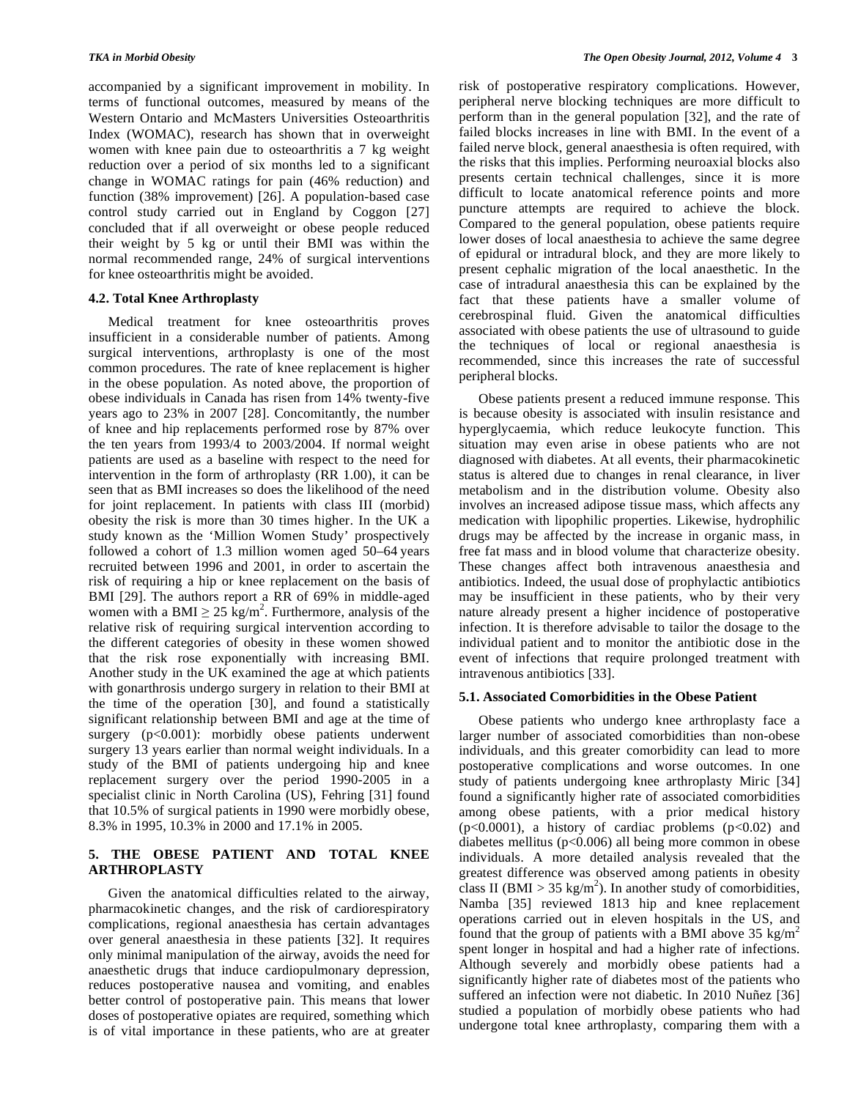accompanied by a significant improvement in mobility. In terms of functional outcomes, measured by means of the Western Ontario and McMasters Universities Osteoarthritis Index (WOMAC), research has shown that in overweight women with knee pain due to osteoarthritis a 7 kg weight reduction over a period of six months led to a significant change in WOMAC ratings for pain (46% reduction) and function (38% improvement) [26]. A population-based case control study carried out in England by Coggon [27] concluded that if all overweight or obese people reduced their weight by 5 kg or until their BMI was within the normal recommended range, 24% of surgical interventions for knee osteoarthritis might be avoided.

# **4.2. Total Knee Arthroplasty**

 Medical treatment for knee osteoarthritis proves insufficient in a considerable number of patients. Among surgical interventions, arthroplasty is one of the most common procedures. The rate of knee replacement is higher in the obese population. As noted above, the proportion of obese individuals in Canada has risen from 14% twenty-five years ago to 23% in 2007 [28]. Concomitantly, the number of knee and hip replacements performed rose by 87% over the ten years from 1993/4 to 2003/2004. If normal weight patients are used as a baseline with respect to the need for intervention in the form of arthroplasty  $(RR 1.00)$ , it can be seen that as BMI increases so does the likelihood of the need for joint replacement. In patients with class III (morbid) obesity the risk is more than 30 times higher. In the UK a study known as the 'Million Women Study' prospectively followed a cohort of 1.3 million women aged 50–64 years recruited between 1996 and 2001, in order to ascertain the risk of requiring a hip or knee replacement on the basis of BMI [29]. The authors report a RR of 69% in middle-aged women with a BMI  $\geq 25$  kg/m<sup>2</sup>. Furthermore, analysis of the relative risk of requiring surgical intervention according to the different categories of obesity in these women showed that the risk rose exponentially with increasing BMI. Another study in the UK examined the age at which patients with gonarthrosis undergo surgery in relation to their BMI at the time of the operation [30], and found a statistically significant relationship between BMI and age at the time of surgery (p<0.001): morbidly obese patients underwent surgery 13 years earlier than normal weight individuals. In a study of the BMI of patients undergoing hip and knee replacement surgery over the period 1990-2005 in a specialist clinic in North Carolina (US), Fehring [31] found that 10.5% of surgical patients in 1990 were morbidly obese, 8.3% in 1995, 10.3% in 2000 and 17.1% in 2005.

# **5. THE OBESE PATIENT AND TOTAL KNEE ARTHROPLASTY**

 Given the anatomical difficulties related to the airway, pharmacokinetic changes, and the risk of cardiorespiratory complications, regional anaesthesia has certain advantages over general anaesthesia in these patients [32]. It requires only minimal manipulation of the airway, avoids the need for anaesthetic drugs that induce cardiopulmonary depression, reduces postoperative nausea and vomiting, and enables better control of postoperative pain. This means that lower doses of postoperative opiates are required, something which is of vital importance in these patients, who are at greater

risk of postoperative respiratory complications. However, peripheral nerve blocking techniques are more difficult to perform than in the general population [32], and the rate of failed blocks increases in line with BMI. In the event of a failed nerve block, general anaesthesia is often required, with the risks that this implies. Performing neuroaxial blocks also presents certain technical challenges, since it is more difficult to locate anatomical reference points and more puncture attempts are required to achieve the block. Compared to the general population, obese patients require lower doses of local anaesthesia to achieve the same degree of epidural or intradural block, and they are more likely to present cephalic migration of the local anaesthetic. In the case of intradural anaesthesia this can be explained by the fact that these patients have a smaller volume of cerebrospinal fluid. Given the anatomical difficulties associated with obese patients the use of ultrasound to guide the techniques of local or regional anaesthesia is recommended, since this increases the rate of successful peripheral blocks.

 Obese patients present a reduced immune response. This is because obesity is associated with insulin resistance and hyperglycaemia, which reduce leukocyte function. This situation may even arise in obese patients who are not diagnosed with diabetes. At all events, their pharmacokinetic status is altered due to changes in renal clearance, in liver metabolism and in the distribution volume. Obesity also involves an increased adipose tissue mass, which affects any medication with lipophilic properties. Likewise, hydrophilic drugs may be affected by the increase in organic mass, in free fat mass and in blood volume that characterize obesity. These changes affect both intravenous anaesthesia and antibiotics. Indeed, the usual dose of prophylactic antibiotics may be insufficient in these patients, who by their very nature already present a higher incidence of postoperative infection. It is therefore advisable to tailor the dosage to the individual patient and to monitor the antibiotic dose in the event of infections that require prolonged treatment with intravenous antibiotics [33].

# **5.1. Associated Comorbidities in the Obese Patient**

 Obese patients who undergo knee arthroplasty face a larger number of associated comorbidities than non-obese individuals, and this greater comorbidity can lead to more postoperative complications and worse outcomes. In one study of patients undergoing knee arthroplasty Miric [34] found a significantly higher rate of associated comorbidities among obese patients, with a prior medical history  $(p<0.0001)$ , a history of cardiac problems  $(p<0.02)$  and diabetes mellitus (p<0.006) all being more common in obese individuals. A more detailed analysis revealed that the greatest difference was observed among patients in obesity class II (BMI > 35 kg/m<sup>2</sup>). In another study of comorbidities, Namba [35] reviewed 1813 hip and knee replacement operations carried out in eleven hospitals in the US, and found that the group of patients with a BMI above 35 kg/m<sup>2</sup> spent longer in hospital and had a higher rate of infections. Although severely and morbidly obese patients had a significantly higher rate of diabetes most of the patients who suffered an infection were not diabetic. In 2010 Nuñez [36] studied a population of morbidly obese patients who had undergone total knee arthroplasty, comparing them with a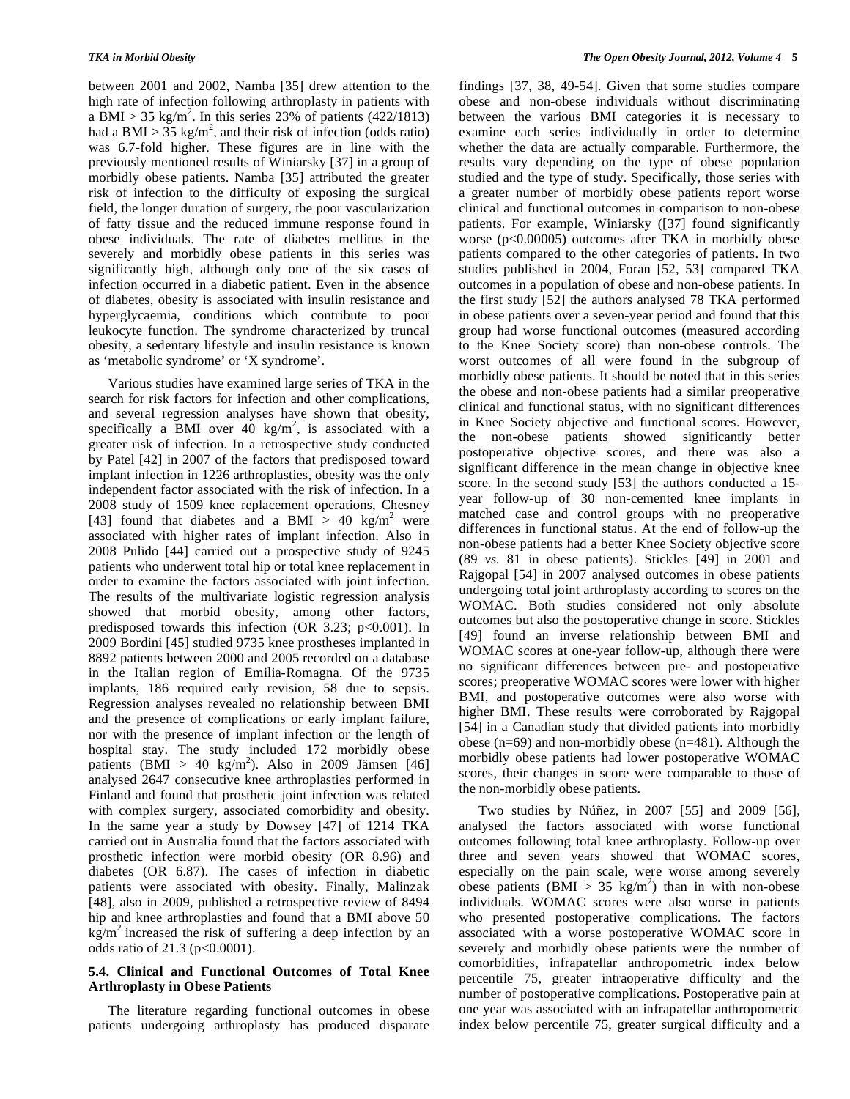between 2001 and 2002, Namba [35] drew attention to the high rate of infection following arthroplasty in patients with a  $\text{BMI} > 35 \text{ kg/m}^2$ . In this series 23% of patients (422/1813) had a BMI >  $35 \text{ kg/m}^2$ , and their risk of infection (odds ratio) was 6.7-fold higher. These figures are in line with the previously mentioned results of Winiarsky [37] in a group of morbidly obese patients. Namba [35] attributed the greater risk of infection to the difficulty of exposing the surgical field, the longer duration of surgery, the poor vascularization of fatty tissue and the reduced immune response found in obese individuals. The rate of diabetes mellitus in the severely and morbidly obese patients in this series was significantly high, although only one of the six cases of infection occurred in a diabetic patient. Even in the absence of diabetes, obesity is associated with insulin resistance and hyperglycaemia, conditions which contribute to poor leukocyte function. The syndrome characterized by truncal obesity, a sedentary lifestyle and insulin resistance is known as 'metabolic syndrome' or 'X syndrome'.

 Various studies have examined large series of TKA in the search for risk factors for infection and other complications, and several regression analyses have shown that obesity, specifically a BMI over  $40 \text{ kg/m}^2$ , is associated with a greater risk of infection. In a retrospective study conducted by Patel [42] in 2007 of the factors that predisposed toward implant infection in 1226 arthroplasties, obesity was the only independent factor associated with the risk of infection. In a 2008 study of 1509 knee replacement operations, Chesney [43] found that diabetes and a BMI > 40 kg/m<sup>2</sup> were associated with higher rates of implant infection. Also in 2008 Pulido [44] carried out a prospective study of 9245 patients who underwent total hip or total knee replacement in order to examine the factors associated with joint infection. The results of the multivariate logistic regression analysis showed that morbid obesity, among other factors, predisposed towards this infection (OR  $3.23$ ; p<0.001). In 2009 Bordini [45] studied 9735 knee prostheses implanted in 8892 patients between 2000 and 2005 recorded on a database in the Italian region of Emilia-Romagna. Of the 9735 implants, 186 required early revision, 58 due to sepsis. Regression analyses revealed no relationship between BMI and the presence of complications or early implant failure, nor with the presence of implant infection or the length of hospital stay. The study included 172 morbidly obese patients (BMI > 40 kg/m<sup>2</sup>). Also in 2009 Jämsen [46] analysed 2647 consecutive knee arthroplasties performed in Finland and found that prosthetic joint infection was related with complex surgery, associated comorbidity and obesity. In the same year a study by Dowsey [47] of 1214 TKA carried out in Australia found that the factors associated with prosthetic infection were morbid obesity (OR 8.96) and diabetes (OR 6.87). The cases of infection in diabetic patients were associated with obesity. Finally, Malinzak [48], also in 2009, published a retrospective review of 8494 hip and knee arthroplasties and found that a BMI above 50  $kg/m<sup>2</sup>$  increased the risk of suffering a deep infection by an odds ratio of 21.3 (p<0.0001).

### **5.4. Clinical and Functional Outcomes of Total Knee Arthroplasty in Obese Patients**

 The literature regarding functional outcomes in obese patients undergoing arthroplasty has produced disparate findings [37, 38, 49-54]. Given that some studies compare obese and non-obese individuals without discriminating between the various BMI categories it is necessary to examine each series individually in order to determine whether the data are actually comparable. Furthermore, the results vary depending on the type of obese population studied and the type of study. Specifically, those series with a greater number of morbidly obese patients report worse clinical and functional outcomes in comparison to non-obese patients. For example, Winiarsky ([37] found significantly worse (p<0.00005) outcomes after TKA in morbidly obese patients compared to the other categories of patients. In two studies published in 2004, Foran [52, 53] compared TKA outcomes in a population of obese and non-obese patients. In the first study [52] the authors analysed 78 TKA performed in obese patients over a seven-year period and found that this group had worse functional outcomes (measured according to the Knee Society score) than non-obese controls. The worst outcomes of all were found in the subgroup of morbidly obese patients. It should be noted that in this series the obese and non-obese patients had a similar preoperative clinical and functional status, with no significant differences in Knee Society objective and functional scores. However, the non-obese patients showed significantly better postoperative objective scores, and there was also a significant difference in the mean change in objective knee score. In the second study [53] the authors conducted a 15 year follow-up of 30 non-cemented knee implants in matched case and control groups with no preoperative differences in functional status. At the end of follow-up the non-obese patients had a better Knee Society objective score (89 *vs.* 81 in obese patients). Stickles [49] in 2001 and Rajgopal [54] in 2007 analysed outcomes in obese patients undergoing total joint arthroplasty according to scores on the WOMAC. Both studies considered not only absolute outcomes but also the postoperative change in score. Stickles [49] found an inverse relationship between BMI and WOMAC scores at one-year follow-up, although there were no significant differences between pre- and postoperative scores; preoperative WOMAC scores were lower with higher BMI, and postoperative outcomes were also worse with higher BMI. These results were corroborated by Rajgopal [54] in a Canadian study that divided patients into morbidly obese (n=69) and non-morbidly obese (n=481). Although the morbidly obese patients had lower postoperative WOMAC scores, their changes in score were comparable to those of the non-morbidly obese patients.

 Two studies by Núñez, in 2007 [55] and 2009 [56], analysed the factors associated with worse functional outcomes following total knee arthroplasty. Follow-up over three and seven years showed that WOMAC scores, especially on the pain scale, were worse among severely obese patients ( $\overrightarrow{BM} > 35 \text{ kg/m}^2$ ) than in with non-obese individuals. WOMAC scores were also worse in patients who presented postoperative complications. The factors associated with a worse postoperative WOMAC score in severely and morbidly obese patients were the number of comorbidities, infrapatellar anthropometric index below percentile 75, greater intraoperative difficulty and the number of postoperative complications. Postoperative pain at one year was associated with an infrapatellar anthropometric index below percentile 75, greater surgical difficulty and a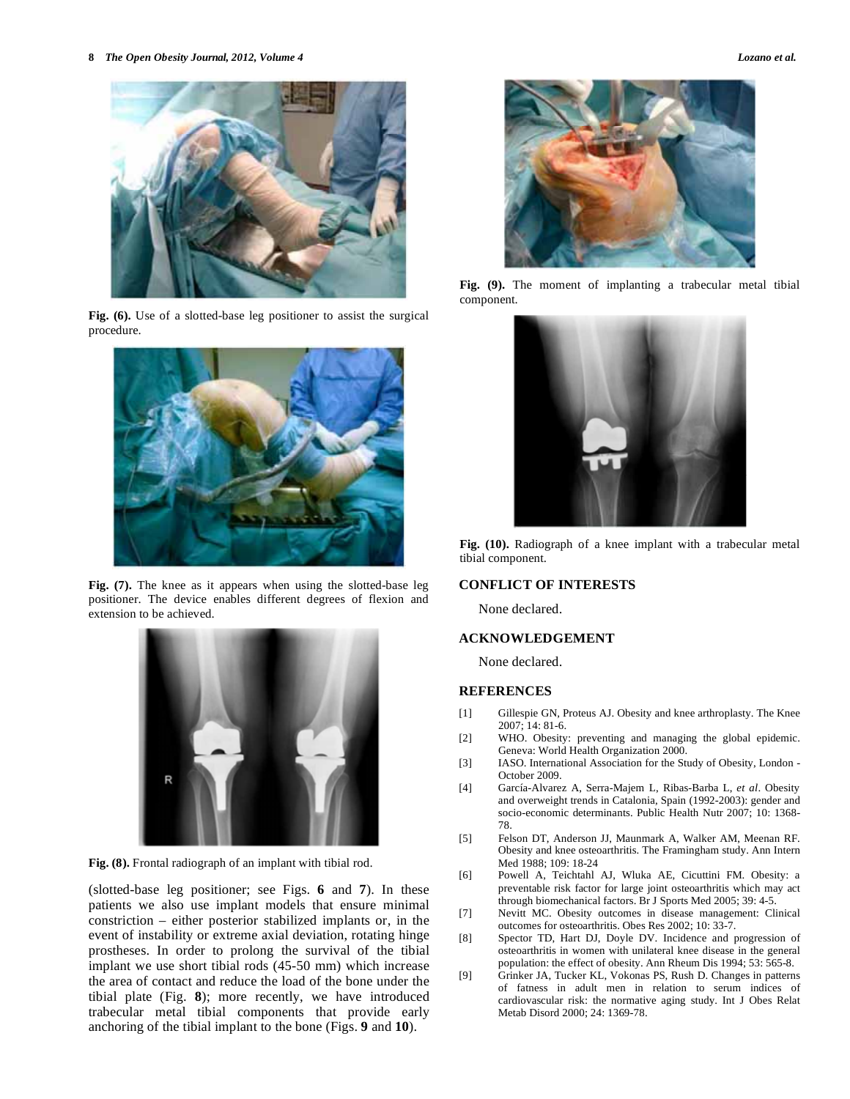**Fig. (6).** Use of a slotted-base leg positioner to assist the surgical procedure.

**Fig. (7).** The knee as it appears when using the slotted-base leg positioner. The device enables different degrees of flexion and extension to be achieved.

**Fig. (8).** Frontal radiograph of an implant with tibial rod.

(slotted-base leg positioner; see Figs. **6** and **7**). In these patients we also use implant models that ensure minimal constriction – either posterior stabilized implants or, in the event of instability or extreme axial deviation, rotating hinge prostheses. In order to prolong the survival of the tibial implant we use short tibial rods (45-50 mm) which increase the area of contact and reduce the load of the bone under the tibial plate (Fig. **8**); more recently, we have introduced trabecular metal tibial components that provide early anchoring of the tibial implant to the bone (Figs. **9** and **10**).

**Fig. (9).** The moment of implanting a trabecular metal tibial component.

**Fig. (10).** Radiograph of a knee implant with a trabecular metal tibial component.

### **CONFLICT OF INTERESTS**

None declared.

### **ACKNOWLEDGEMENT**

None declared.

### **REFERENCES**

- [1] Gillespie GN, Proteus AJ. Obesity and knee arthroplasty. The Knee 2007; 14: 81-6.
- [2] WHO. Obesity: preventing and managing the global epidemic. Geneva: World Health Organization 2000.
- [3] IASO. International Association for the Study of Obesity, London October 2009.
- [4] García-Alvarez A, Serra-Majem L, Ribas-Barba L, *et al*. Obesity and overweight trends in Catalonia, Spain (1992-2003): gender and socio-economic determinants. Public Health Nutr 2007; 10: 1368- 78.
- [5] Felson DT, Anderson JJ, Maunmark A, Walker AM, Meenan RF. Obesity and knee osteoarthritis. The Framingham study. Ann Intern Med 1988; 109: 18-24
- [6] Powell A, Teichtahl AJ, Wluka AE, Cicuttini FM. Obesity: a preventable risk factor for large joint osteoarthritis which may act through biomechanical factors. Br J Sports Med 2005; 39: 4-5.
- [7] Nevitt MC. Obesity outcomes in disease management: Clinical outcomes for osteoarthritis. Obes Res 2002; 10: 33-7.
- [8] Spector TD, Hart DJ, Doyle DV. Incidence and progression of osteoarthritis in women with unilateral knee disease in the general population: the effect of obesity. Ann Rheum Dis 1994; 53: 565-8.
- [9] Grinker JA, Tucker KL, Vokonas PS, Rush D. Changes in patterns of fatness in adult men in relation to serum indices of cardiovascular risk: the normative aging study. Int J Obes Relat Metab Disord 2000; 24: 1369-78.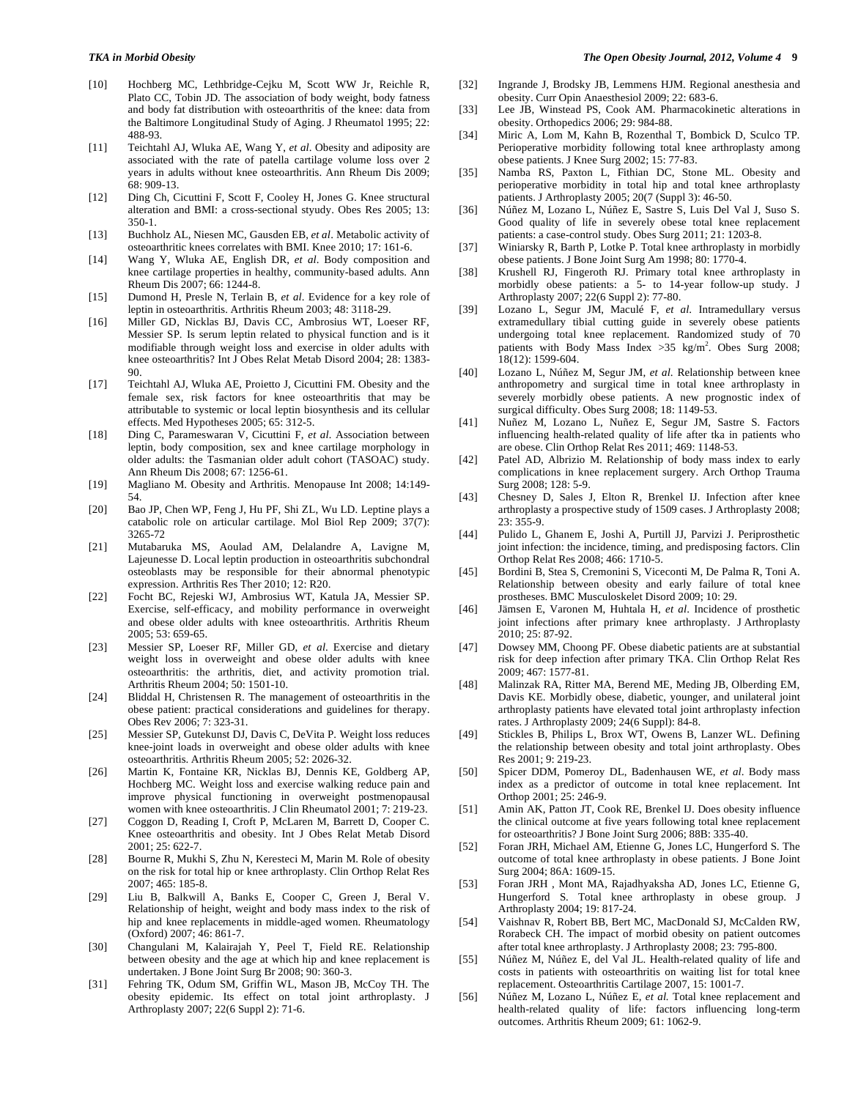- [10] Hochberg MC, Lethbridge-Cejku M, Scott WW Jr, Reichle R, Plato CC, Tobin JD. The association of body weight, body fatness and body fat distribution with osteoarthritis of the knee: data from the Baltimore Longitudinal Study of Aging. J Rheumatol 1995; 22: 488-93.
- [11] Teichtahl AJ, Wluka AE, Wang Y, *et al*. Obesity and adiposity are associated with the rate of patella cartilage volume loss over 2 years in adults without knee osteoarthritis. Ann Rheum Dis 2009; 68: 909-13.
- [12] Ding Ch, Cicuttini F, Scott F, Cooley H, Jones G. Knee structural alteration and BMI: a cross-sectional styudy. Obes Res 2005; 13: 350-1.
- [13] Buchholz AL, Niesen MC, Gausden EB, *et al*. Metabolic activity of osteoarthritic knees correlates with BMI. Knee 2010; 17: 161-6.
- [14] Wang Y, Wluka AE, English DR, *et al*. Body composition and knee cartilage properties in healthy, community-based adults. Ann Rheum Dis 2007; 66: 1244-8.
- [15] Dumond H, Presle N, Terlain B, *et al*. Evidence for a key role of leptin in osteoarthritis. Arthritis Rheum 2003; 48: 3118-29.
- [16] Miller GD, Nicklas BJ, Davis CC, Ambrosius WT, Loeser RF, Messier SP. Is serum leptin related to physical function and is it modifiable through weight loss and exercise in older adults with knee osteoarthritis? Int J Obes Relat Metab Disord 2004; 28: 1383- 90.
- [17] Teichtahl AJ, Wluka AE, Proietto J, Cicuttini FM. Obesity and the female sex, risk factors for knee osteoarthritis that may be attributable to systemic or local leptin biosynthesis and its cellular effects. Med Hypotheses 2005; 65: 312-5.
- [18] Ding C, Parameswaran V, Cicuttini F, *et al.* Association between leptin, body composition, sex and knee cartilage morphology in older adults: the Tasmanian older adult cohort (TASOAC) study. Ann Rheum Dis 2008; 67: 1256-61.
- [19] Magliano M. Obesity and Arthritis. Menopause Int 2008; 14:149- 54.
- [20] Bao JP, Chen WP, Feng J, Hu PF, Shi ZL, Wu LD. Leptine plays a catabolic role on articular cartilage. Mol Biol Rep 2009; 37(7): 3265-72
- [21] Mutabaruka MS, Aoulad AM, Delalandre A, Lavigne M, Lajeunesse D. Local leptin production in osteoarthritis subchondral osteoblasts may be responsible for their abnormal phenotypic expression. Arthritis Res Ther 2010; 12: R20.
- [22] Focht BC, Rejeski WJ, Ambrosius WT, Katula JA, Messier SP. Exercise, self-efficacy, and mobility performance in overweight and obese older adults with knee osteoarthritis. Arthritis Rheum 2005; 53: 659-65.
- [23] Messier SP, Loeser RF, Miller GD, *et al*. Exercise and dietary weight loss in overweight and obese older adults with knee osteoarthritis: the arthritis, diet, and activity promotion trial. Arthritis Rheum 2004; 50: 1501-10.
- [24] Bliddal H, Christensen R. The management of osteoarthritis in the obese patient: practical considerations and guidelines for therapy. Obes Rev 2006; 7: 323-31.
- [25] Messier SP, Gutekunst DJ, Davis C, DeVita P. Weight loss reduces knee-joint loads in overweight and obese older adults with knee osteoarthritis. Arthritis Rheum 2005; 52: 2026-32.
- [26] Martin K, Fontaine KR, Nicklas BJ, Dennis KE, Goldberg AP, Hochberg MC. Weight loss and exercise walking reduce pain and improve physical functioning in overweight postmenopausal women with knee osteoarthritis. J Clin Rheumatol 2001; 7: 219-23.
- [27] Coggon D, Reading I, Croft P, McLaren M, Barrett D, Cooper C. Knee osteoarthritis and obesity. Int J Obes Relat Metab Disord 2001; 25: 622-7.
- [28] Bourne R, Mukhi S, Zhu N, Keresteci M, Marin M. Role of obesity on the risk for total hip or knee arthroplasty. Clin Orthop Relat Res 2007; 465: 185-8.
- [29] Liu B, Balkwill A, Banks E, Cooper C, Green J, Beral V. Relationship of height, weight and body mass index to the risk of hip and knee replacements in middle-aged women. Rheumatology (Oxford) 2007; 46: 861-7.
- [30] Changulani M, Kalairajah Y, Peel T, Field RE. Relationship between obesity and the age at which hip and knee replacement is undertaken. J Bone Joint Surg Br 2008; 90: 360-3.
- [31] Fehring TK, Odum SM, Griffin WL, Mason JB, McCoy TH. The obesity epidemic. Its effect on total joint arthroplasty. J Arthroplasty 2007; 22(6 Suppl 2): 71-6.
- [32] Ingrande J, Brodsky JB, Lemmens HJM. Regional anesthesia and obesity. Curr Opin Anaesthesiol 2009; 22: 683-6.
- [33] Lee JB, Winstead PS, Cook AM. Pharmacokinetic alterations in obesity. Orthopedics 2006; 29: 984-88.
- [34] Miric A, Lom M, Kahn B, Rozenthal T, Bombick D, Sculco TP. Perioperative morbidity following total knee arthroplasty among obese patients. J Knee Surg 2002; 15: 77-83.
- [35] Namba RS, Paxton L, Fithian DC, Stone ML. Obesity and perioperative morbidity in total hip and total knee arthroplasty patients. J Arthroplasty 2005; 20(7 (Suppl 3): 46-50.
- [36] Núñez M, Lozano L, Núñez E, Sastre S, Luis Del Val J, Suso S. Good quality of life in severely obese total knee replacement patients: a case-control study. Obes Surg 2011; 21: 1203-8.
- [37] Winiarsky R, Barth P, Lotke P. Total knee arthroplasty in morbidly obese patients. J Bone Joint Surg Am 1998; 80: 1770-4.
- [38] Krushell RJ, Fingeroth RJ. Primary total knee arthroplasty in morbidly obese patients: a 5- to 14-year follow-up study. J Arthroplasty 2007; 22(6 Suppl 2): 77-80.
- [39] Lozano L, Segur JM, Maculé F, *et al*. Intramedullary versus extramedullary tibial cutting guide in severely obese patients undergoing total knee replacement. Randomized study of 70 patients with Body Mass Index  $>35$  kg/m<sup>2</sup>. Obes Surg 2008; 18(12): 1599-604.
- [40] Lozano L, Núñez M, Segur JM, *et al*. Relationship between knee anthropometry and surgical time in total knee arthroplasty in severely morbidly obese patients. A new prognostic index of surgical difficulty. Obes Surg 2008; 18: 1149-53.
- [41] Nuñez M, Lozano L, Nuñez E, Segur JM, Sastre S. Factors influencing health-related quality of life after tka in patients who are obese. Clin Orthop Relat Res 2011; 469: 1148-53.
- [42] Patel AD, Albrizio M. Relationship of body mass index to early complications in knee replacement surgery. Arch Orthop Trauma Surg 2008; 128: 5-9.
- [43] Chesney D, Sales J, Elton R, Brenkel IJ. Infection after knee arthroplasty a prospective study of 1509 cases. J Arthroplasty 2008; 23: 355-9.
- [44] Pulido L, Ghanem E, Joshi A, Purtill JJ, Parvizi J. Periprosthetic joint infection: the incidence, timing, and predisposing factors. Clin Orthop Relat Res 2008; 466: 1710-5.
- [45] Bordini B, Stea S, Cremonini S, Viceconti M, De Palma R, Toni A. Relationship between obesity and early failure of total knee prostheses. BMC Musculoskelet Disord 2009; 10: 29.
- [46] Jämsen E, Varonen M, Huhtala H, *et al*. Incidence of prosthetic joint infections after primary knee arthroplasty. J Arthroplasty 2010; 25: 87-92.
- [47] Dowsey MM, Choong PF. Obese diabetic patients are at substantial risk for deep infection after primary TKA. Clin Orthop Relat Res 2009; 467: 1577-81.
- [48] Malinzak RA, Ritter MA, Berend ME, Meding JB, Olberding EM, Davis KE. Morbidly obese, diabetic, younger, and unilateral joint arthroplasty patients have elevated total joint arthroplasty infection rates. J Arthroplasty 2009; 24(6 Suppl): 84-8.
- [49] Stickles B, Philips L, Brox WT, Owens B, Lanzer WL. Defining the relationship between obesity and total joint arthroplasty. Obes Res 2001; 9: 219-23.
- [50] Spicer DDM, Pomeroy DL, Badenhausen WE, *et al*. Body mass index as a predictor of outcome in total knee replacement. Int Orthop 2001; 25: 246-9.
- [51] Amin AK, Patton JT, Cook RE, Brenkel IJ. Does obesity influence the clinical outcome at five years following total knee replacement for osteoarthritis? J Bone Joint Surg 2006; 88B: 335-40.
- [52] Foran JRH, Michael AM, Etienne G, Jones LC, Hungerford S. The outcome of total knee arthroplasty in obese patients. J Bone Joint Surg 2004; 86A: 1609-15.
- [53] Foran JRH , Mont MA, Rajadhyaksha AD, Jones LC, Etienne G, Hungerford S. Total knee arthroplasty in obese group. J Arthroplasty 2004; 19: 817-24.
- [54] Vaishnav R, Robert BB, Bert MC, MacDonald SJ, McCalden RW, Rorabeck CH. The impact of morbid obesity on patient outcomes after total knee arthroplasty. J Arthroplasty 2008; 23: 795-800.
- [55] Núñez M, Núñez E, del Val JL. Health-related quality of life and costs in patients with osteoarthritis on waiting list for total knee replacement. Osteoarthritis Cartilage 2007, 15: 1001-7.
- [56] Núñez M, Lozano L, Núñez E, *et al.* Total knee replacement and health-related quality of life: factors influencing long-term outcomes. Arthritis Rheum 2009; 61: 1062-9.